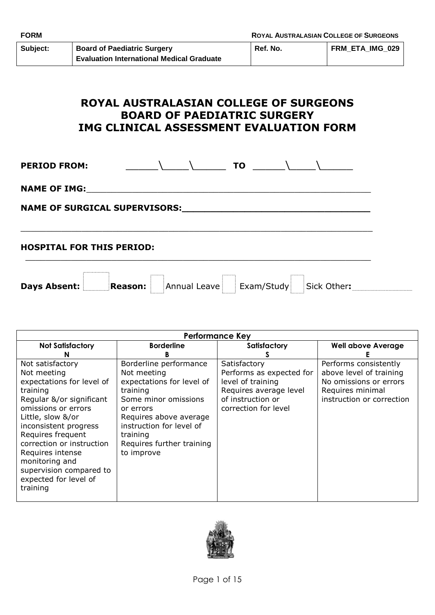| Subject: | <b>Board of Paediatric Surgery</b>               |
|----------|--------------------------------------------------|
|          | <b>Evaluation International Medical Graduate</b> |

# **ROYAL AUSTRALASIAN COLLEGE OF SURGEONS BOARD OF PAEDIATRIC SURGERY IMG CLINICAL ASSESSMENT EVALUATION FORM**

**PERIOD FROM:** \_\_\_\_\_\\_\_\_\_\\_\_\_\_\_ **TO** \_\_\_\_\_\\_\_\_\_\\_\_\_\_\_

NAME OF IMG:

**NAME OF SURGICAL SUPERVISORS:\_\_\_\_\_\_\_\_\_\_\_\_\_\_\_\_\_\_\_\_\_\_\_\_\_\_\_\_\_\_\_\_\_**

# **HOSPITAL FOR THIS PERIOD:**

**Days Absent:** Reason: Annual Leave Exam/Study Sick Other:

\_\_\_\_\_\_\_\_\_\_\_\_\_\_\_\_\_\_\_\_\_\_\_\_\_\_\_\_\_\_\_\_\_\_\_\_\_\_\_\_\_\_\_\_\_\_\_\_\_\_\_\_\_\_\_\_\_\_\_\_\_\_\_\_\_\_\_\_\_

 $\_$  , and the set of the set of the set of the set of the set of the set of the set of the set of the set of the set of the set of the set of the set of the set of the set of the set of the set of the set of the set of th

| <b>Performance Key</b>                                                                                                                                                                                                                                                                                                            |                                                                                                                                                                                                                                  |                                                                                                                                      |                                                                                                                             |  |  |  |
|-----------------------------------------------------------------------------------------------------------------------------------------------------------------------------------------------------------------------------------------------------------------------------------------------------------------------------------|----------------------------------------------------------------------------------------------------------------------------------------------------------------------------------------------------------------------------------|--------------------------------------------------------------------------------------------------------------------------------------|-----------------------------------------------------------------------------------------------------------------------------|--|--|--|
| <b>Not Satisfactory</b>                                                                                                                                                                                                                                                                                                           | <b>Borderline</b>                                                                                                                                                                                                                | Satisfactory                                                                                                                         | <b>Well above Average</b>                                                                                                   |  |  |  |
|                                                                                                                                                                                                                                                                                                                                   |                                                                                                                                                                                                                                  |                                                                                                                                      |                                                                                                                             |  |  |  |
| Not satisfactory<br>Not meeting<br>expectations for level of<br>training<br>Regular &/or significant<br>omissions or errors<br>Little, slow &/or<br>inconsistent progress<br>Requires frequent<br>correction or instruction<br>Requires intense<br>monitoring and<br>supervision compared to<br>expected for level of<br>training | Borderline performance<br>Not meeting<br>expectations for level of<br>training<br>Some minor omissions<br>or errors<br>Requires above average<br>instruction for level of<br>training<br>Requires further training<br>to improve | Satisfactory<br>Performs as expected for<br>level of training<br>Requires average level<br>of instruction or<br>correction for level | Performs consistently<br>above level of training<br>No omissions or errors<br>Requires minimal<br>instruction or correction |  |  |  |
|                                                                                                                                                                                                                                                                                                                                   |                                                                                                                                                                                                                                  |                                                                                                                                      |                                                                                                                             |  |  |  |

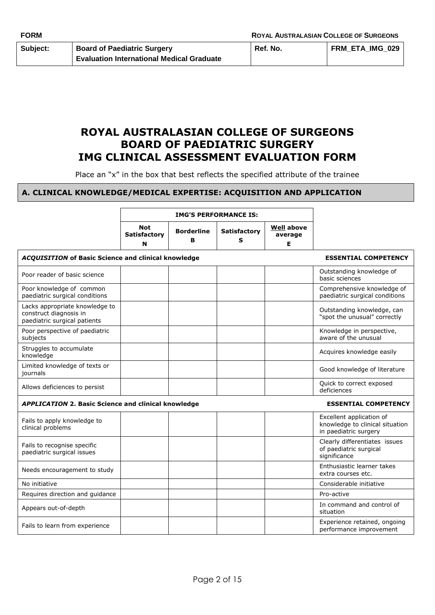# **ROYAL AUSTRALASIAN COLLEGE OF SURGEONS BOARD OF PAEDIATRIC SURGERY IMG CLINICAL ASSESSMENT EVALUATION FORM**

Place an "x" in the box that best reflects the specified attribute of the trainee

#### **A. CLINICAL KNOWLEDGE/MEDICAL EXPERTISE: ACQUISITION AND APPLICATION**

|                                                                                          | <b>IMG'S PERFORMANCE IS:</b>    |                        |                          |                                   |                                                                                      |
|------------------------------------------------------------------------------------------|---------------------------------|------------------------|--------------------------|-----------------------------------|--------------------------------------------------------------------------------------|
|                                                                                          | Not<br><b>Satisfactory</b><br>N | <b>Borderline</b><br>в | <b>Satisfactory</b><br>s | <b>Well above</b><br>average<br>E |                                                                                      |
| <b>ACQUISITION of Basic Science and clinical knowledge</b>                               |                                 |                        |                          |                                   | <b>ESSENTIAL COMPETENCY</b>                                                          |
| Poor reader of basic science                                                             |                                 |                        |                          |                                   | Outstanding knowledge of<br>basic sciences                                           |
| Poor knowledge of common<br>paediatric surgical conditions                               |                                 |                        |                          |                                   | Comprehensive knowledge of<br>paediatric surgical conditions                         |
| Lacks appropriate knowledge to<br>construct diagnosis in<br>paediatric surgical patients |                                 |                        |                          |                                   | Outstanding knowledge, can<br>"spot the unusual" correctly                           |
| Poor perspective of paediatric<br>subjects                                               |                                 |                        |                          |                                   | Knowledge in perspective,<br>aware of the unusual                                    |
| Struggles to accumulate<br>knowledge                                                     |                                 |                        |                          |                                   | Acquires knowledge easily                                                            |
| Limited knowledge of texts or<br>journals                                                |                                 |                        |                          |                                   | Good knowledge of literature                                                         |
| Allows deficiences to persist                                                            |                                 |                        |                          |                                   | Quick to correct exposed<br>deficiences                                              |
| <b>APPLICATION 2. Basic Science and clinical knowledge</b>                               |                                 |                        |                          |                                   | <b>ESSENTIAL COMPETENCY</b>                                                          |
| Fails to apply knowledge to<br>clinical problems                                         |                                 |                        |                          |                                   | Excellent application of<br>knowledge to clinical situation<br>in paediatric surgery |
| Fails to recognise specific<br>paediatric surgical issues                                |                                 |                        |                          |                                   | Clearly differentiates issues<br>of paediatric surgical<br>significance              |
| Needs encouragement to study                                                             |                                 |                        |                          |                                   | Enthusiastic learner takes<br>extra courses etc.                                     |
| No initiative                                                                            |                                 |                        |                          |                                   | Considerable initiative                                                              |
| Requires direction and guidance                                                          |                                 |                        |                          |                                   | Pro-active                                                                           |
| Appears out-of-depth                                                                     |                                 |                        |                          |                                   | In command and control of<br>situation                                               |
| Fails to learn from experience                                                           |                                 |                        |                          |                                   | Experience retained, ongoing<br>performance improvement                              |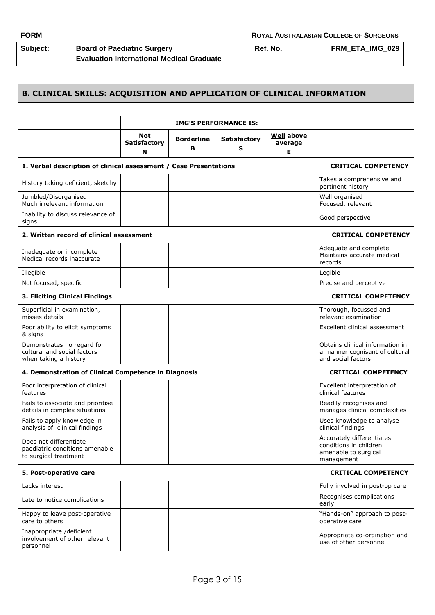| Subject: |  |
|----------|--|
|          |  |

**Subject: Board of Paediatric Surgery Evaluation International Medical Graduate**

#### **B. CLINICAL SKILLS: ACQUISITION AND APPLICATION OF CLINICAL INFORMATION**

|                                                                                    | <b>IMG'S PERFORMANCE IS:</b>    |                        |                          |                                   |                                                                                           |
|------------------------------------------------------------------------------------|---------------------------------|------------------------|--------------------------|-----------------------------------|-------------------------------------------------------------------------------------------|
|                                                                                    | Not<br><b>Satisfactory</b><br>N | <b>Borderline</b><br>в | <b>Satisfactory</b><br>s | <b>Well</b> above<br>average<br>Е |                                                                                           |
| 1. Verbal description of clinical assessment / Case Presentations                  |                                 |                        |                          |                                   | <b>CRITICAL COMPETENCY</b>                                                                |
| History taking deficient, sketchy                                                  |                                 |                        |                          |                                   | Takes a comprehensive and<br>pertinent history                                            |
| Jumbled/Disorganised<br>Much irrelevant information                                |                                 |                        |                          |                                   | Well organised<br>Focused, relevant                                                       |
| Inability to discuss relevance of<br>signs                                         |                                 |                        |                          |                                   | Good perspective                                                                          |
| 2. Written record of clinical assessment                                           |                                 |                        |                          |                                   | <b>CRITICAL COMPETENCY</b>                                                                |
| Inadequate or incomplete<br>Medical records inaccurate                             |                                 |                        |                          |                                   | Adequate and complete<br>Maintains accurate medical<br>records                            |
| Illegible                                                                          |                                 |                        |                          |                                   | Legible                                                                                   |
| Not focused, specific                                                              |                                 |                        |                          |                                   | Precise and perceptive                                                                    |
| 3. Eliciting Clinical Findings                                                     |                                 |                        |                          |                                   | <b>CRITICAL COMPETENCY</b>                                                                |
| Superficial in examination,<br>misses details                                      |                                 |                        |                          |                                   | Thorough, focussed and<br>relevant examination                                            |
| Poor ability to elicit symptoms<br>& signs                                         |                                 |                        |                          |                                   | Excellent clinical assessment                                                             |
| Demonstrates no regard for<br>cultural and social factors<br>when taking a history |                                 |                        |                          |                                   | Obtains clinical information in<br>a manner cognisant of cultural<br>and social factors   |
| 4. Demonstration of Clinical Competence in Diagnosis                               |                                 |                        |                          |                                   | <b>CRITICAL COMPETENCY</b>                                                                |
| Poor interpretation of clinical<br>features                                        |                                 |                        |                          |                                   | Excellent interpretation of<br>clinical features                                          |
| Fails to associate and prioritise<br>details in complex situations                 |                                 |                        |                          |                                   | Readily recognises and<br>manages clinical complexities                                   |
| Fails to apply knowledge in<br>analysis of clinical findings                       |                                 |                        |                          |                                   | Uses knowledge to analyse<br>clinical findings                                            |
| Does not differentiate<br>paediatric conditions amenable<br>to surgical treatment  |                                 |                        |                          |                                   | Accurately differentiates<br>conditions in children<br>amenable to surgical<br>management |
| 5. Post-operative care                                                             |                                 |                        |                          |                                   | <b>CRITICAL COMPETENCY</b>                                                                |
| Lacks interest                                                                     |                                 |                        |                          |                                   | Fully involved in post-op care                                                            |
| Late to notice complications                                                       |                                 |                        |                          |                                   | Recognises complications<br>early                                                         |
| Happy to leave post-operative<br>care to others                                    |                                 |                        |                          |                                   | "Hands-on" approach to post-<br>operative care                                            |
| Inappropriate /deficient<br>involvement of other relevant<br>personnel             |                                 |                        |                          |                                   | Appropriate co-ordination and<br>use of other personnel                                   |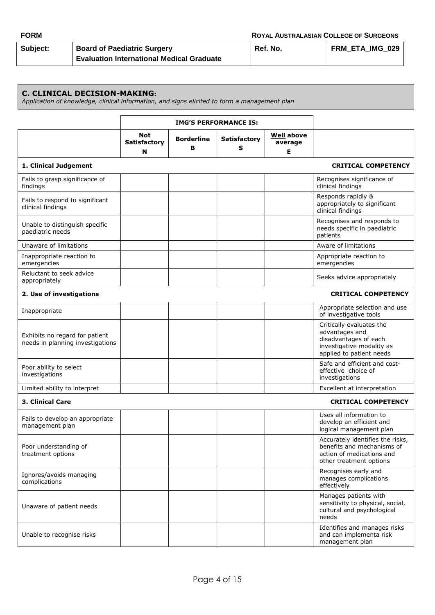| <b>FORM</b> |                                                  | <b>ROYAL AUSTRALASIAN COLLEGE OF SURGEONS</b> |                 |  |
|-------------|--------------------------------------------------|-----------------------------------------------|-----------------|--|
| Subject:    | <b>Board of Paediatric Surgery</b>               | Ref. No.                                      | FRM ETA IMG 029 |  |
|             | <b>Evaluation International Medical Graduate</b> |                                               |                 |  |

#### **C. CLINICAL DECISION-MAKING:**

*Application of knowledge, clinical information, and signs elicited to form a management plan*

|                                                                    | <b>IMG'S PERFORMANCE IS:</b>           |                        |                          |                                   |                                                                                                                              |
|--------------------------------------------------------------------|----------------------------------------|------------------------|--------------------------|-----------------------------------|------------------------------------------------------------------------------------------------------------------------------|
|                                                                    | <b>Not</b><br><b>Satisfactory</b><br>N | <b>Borderline</b><br>в | <b>Satisfactory</b><br>s | <b>Well</b> above<br>average<br>Е |                                                                                                                              |
| 1. Clinical Judgement                                              |                                        |                        |                          |                                   | <b>CRITICAL COMPETENCY</b>                                                                                                   |
| Fails to grasp significance of<br>findings                         |                                        |                        |                          |                                   | Recognises significance of<br>clinical findings                                                                              |
| Fails to respond to significant<br>clinical findings               |                                        |                        |                          |                                   | Responds rapidly &<br>appropriately to significant<br>clinical findings                                                      |
| Unable to distinguish specific<br>paediatric needs                 |                                        |                        |                          |                                   | Recognises and responds to<br>needs specific in paediatric<br>patients                                                       |
| Unaware of limitations                                             |                                        |                        |                          |                                   | Aware of limitations                                                                                                         |
| Inappropriate reaction to<br>emergencies                           |                                        |                        |                          |                                   | Appropriate reaction to<br>emergencies                                                                                       |
| Reluctant to seek advice<br>appropriately                          |                                        |                        |                          |                                   | Seeks advice appropriately                                                                                                   |
| 2. Use of investigations                                           |                                        |                        |                          |                                   | <b>CRITICAL COMPETENCY</b>                                                                                                   |
| Inappropriate                                                      |                                        |                        |                          |                                   | Appropriate selection and use<br>of investigative tools                                                                      |
| Exhibits no regard for patient<br>needs in planning investigations |                                        |                        |                          |                                   | Critically evaluates the<br>advantages and<br>disadvantages of each<br>investigative modality as<br>applied to patient needs |
| Poor ability to select<br>investigations                           |                                        |                        |                          |                                   | Safe and efficient and cost-<br>effective choice of<br>investigations                                                        |
| Limited ability to interpret                                       |                                        |                        |                          |                                   | Excellent at interpretation                                                                                                  |
| <b>3. Clinical Care</b>                                            |                                        |                        |                          |                                   | <b>CRITICAL COMPETENCY</b>                                                                                                   |
| Fails to develop an appropriate<br>management plan                 |                                        |                        |                          |                                   | Uses all information to<br>develop an efficient and<br>logical management plan                                               |
| Poor understanding of<br>treatment options                         |                                        |                        |                          |                                   | Accurately identifies the risks,<br>benefits and mechanisms of<br>action of medications and<br>other treatment options       |
| Ignores/avoids managing<br>complications                           |                                        |                        |                          |                                   | Recognises early and<br>manages complications<br>effectively                                                                 |
| Unaware of patient needs                                           |                                        |                        |                          |                                   | Manages patients with<br>sensitivity to physical, social,<br>cultural and psychological<br>needs                             |
| Unable to recognise risks                                          |                                        |                        |                          |                                   | Identifies and manages risks<br>and can implementa risk<br>management plan                                                   |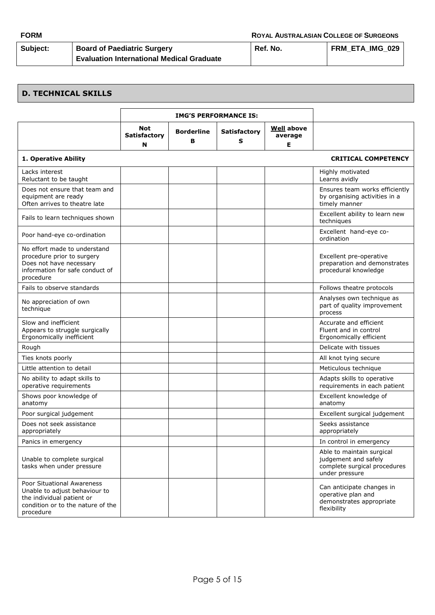| <b>FORM</b> |                                                  | <b>ROYAL AUSTRALASIAN COLLEGE OF SURGEONS</b> |                        |  |
|-------------|--------------------------------------------------|-----------------------------------------------|------------------------|--|
| Subject:    | <b>Board of Paediatric Surgery</b>               | Ref. No.                                      | <b>FRM ETA IMG 029</b> |  |
|             | <b>Evaluation International Medical Graduate</b> |                                               |                        |  |

# **D. TECHNICAL SKILLS**

|                                                                                                                                            | <b>IMG'S PERFORMANCE IS:</b>    |                        |                          |                                   |                                                                                                     |
|--------------------------------------------------------------------------------------------------------------------------------------------|---------------------------------|------------------------|--------------------------|-----------------------------------|-----------------------------------------------------------------------------------------------------|
|                                                                                                                                            | Not<br><b>Satisfactory</b><br>N | <b>Borderline</b><br>в | <b>Satisfactory</b><br>S | <b>Well</b> above<br>average<br>Е |                                                                                                     |
| 1. Operative Ability                                                                                                                       |                                 |                        |                          |                                   | <b>CRITICAL COMPETENCY</b>                                                                          |
| Lacks interest<br>Reluctant to be taught                                                                                                   |                                 |                        |                          |                                   | Highly motivated<br>Learns avidly                                                                   |
| Does not ensure that team and<br>equipment are ready<br>Often arrives to theatre late                                                      |                                 |                        |                          |                                   | Ensures team works efficiently<br>by organising activities in a<br>timely manner                    |
| Fails to learn techniques shown                                                                                                            |                                 |                        |                          |                                   | Excellent ability to learn new<br>techniques                                                        |
| Poor hand-eye co-ordination                                                                                                                |                                 |                        |                          |                                   | Excellent hand-eye co-<br>ordination                                                                |
| No effort made to understand<br>procedure prior to surgery<br>Does not have necessary<br>information for safe conduct of<br>procedure      |                                 |                        |                          |                                   | Excellent pre-operative<br>preparation and demonstrates<br>procedural knowledge                     |
| Fails to observe standards                                                                                                                 |                                 |                        |                          |                                   | Follows theatre protocols                                                                           |
| No appreciation of own<br>technique                                                                                                        |                                 |                        |                          |                                   | Analyses own technique as<br>part of quality improvement<br>process                                 |
| Slow and inefficient<br>Appears to struggle surgically<br>Ergonomically inefficient                                                        |                                 |                        |                          |                                   | Accurate and efficient<br>Fluent and in control<br>Ergonomically efficient                          |
| Rough                                                                                                                                      |                                 |                        |                          |                                   | Delicate with tissues                                                                               |
| Ties knots poorly                                                                                                                          |                                 |                        |                          |                                   | All knot tying secure                                                                               |
| Little attention to detail                                                                                                                 |                                 |                        |                          |                                   | Meticulous technique                                                                                |
| No ability to adapt skills to<br>operative requirements                                                                                    |                                 |                        |                          |                                   | Adapts skills to operative<br>requirements in each patient                                          |
| Shows poor knowledge of<br>anatomy                                                                                                         |                                 |                        |                          |                                   | Excellent knowledge of<br>anatomy                                                                   |
| Poor surgical judgement                                                                                                                    |                                 |                        |                          |                                   | Excellent surgical judgement                                                                        |
| Does not seek assistance<br>appropriately                                                                                                  |                                 |                        |                          |                                   | Seeks assistance<br>appropriately                                                                   |
| Panics in emergency                                                                                                                        |                                 |                        |                          |                                   | In control in emergency                                                                             |
| Unable to complete surgical<br>tasks when under pressure                                                                                   |                                 |                        |                          |                                   | Able to maintain surgical<br>judgement and safely<br>complete surgical procedures<br>under pressure |
| Poor Situational Awareness<br>Unable to adjust behaviour to<br>the individual patient or<br>condition or to the nature of the<br>procedure |                                 |                        |                          |                                   | Can anticipate changes in<br>operative plan and<br>demonstrates appropriate<br>flexibility          |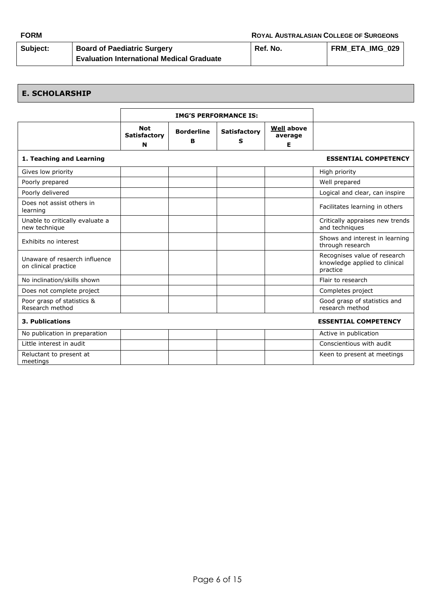| <b>FORM</b> |                                                  | <b>ROYAL AUSTRALASIAN COLLEGE OF SURGEONS</b> |                        |  |
|-------------|--------------------------------------------------|-----------------------------------------------|------------------------|--|
| Subject:    | <b>Board of Paediatric Surgery</b>               | Ref. No.                                      | <b>FRM ETA IMG 029</b> |  |
|             | <b>Evaluation International Medical Graduate</b> |                                               |                        |  |

#### **E. SCHOLARSHIP IMG'S PERFORMANCE IS: Not Satisfactory N Borderline B Satisfactory S Well above average E 1. Teaching and Learning ESSENTIAL COMPETENCY** Gives low priority **High priority**  $\begin{vmatrix} 1 & 1 \end{vmatrix}$  and  $\begin{vmatrix} 1 & 1 \end{vmatrix}$  and  $\begin{vmatrix} 1 & 1 \end{vmatrix}$  and  $\begin{vmatrix} 1 & 1 \end{vmatrix}$  and  $\begin{vmatrix} 1 & 1 \end{vmatrix}$  and  $\begin{vmatrix} 1 & 1 \end{vmatrix}$  and  $\begin{vmatrix} 1 & 1 \end{vmatrix}$  and  $\begin{vmatrix} 1 & 1 \end{vmatrix}$ Poorly prepared **Network Contains the Container of the Container** Poorly prepared Network and Network Contains a structure of the Contains of the Contains of the Contains of the Contains of the Contains of the Contains of Poorly delivered **Logical Accord 2012 Logical and clear, can inspire** Does not assist others in Learning Facilitates learning in others in the contract of the contract of the contract of the contract of the contract of the contract of the contract of the contract of the contract of the contract of the contract of the Unable to critically evaluate a new technique Critically appraises new trends and techniques Exhibits no interest **Shows and interest in learning** through research Unaware of resaerch influence on clinical practice Recognises value of research knowledge applied to clinical practice No inclination/skills shown Flair to research Does not complete project  $\begin{vmatrix} \cdot & \cdot & \cdot \\ \cdot & \cdot & \cdot \\ \cdot & \cdot & \cdot \end{vmatrix}$  Completes project Poor grasp of statistics & Research method Good grasp of statistics and research method **3. Publications ESSENTIAL COMPETENCY** No publication in preparation and the set of the set of the set of the set of the set of the set of the set of the set of the set of the set of the set of the set of the set of the set of the set of the set of the set of t Little interest in audit **Conscientious with audit** and the conscientious with audit Reluctant to present at meetings Keen to present at meetings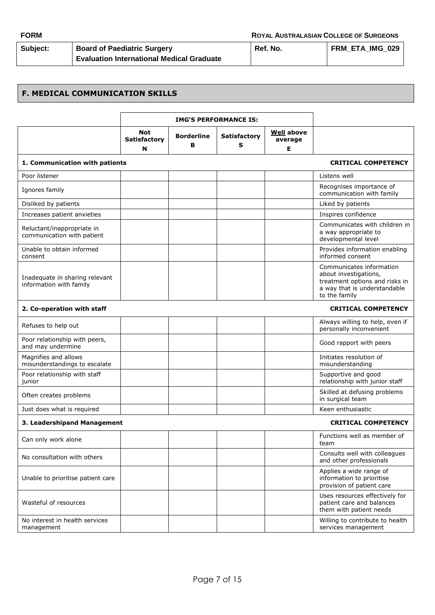| Subject: | <b>Board of Paediatric Surgery</b>               | Ref. No. | <b>FRM ETA IMG 029</b> |
|----------|--------------------------------------------------|----------|------------------------|
|          | <b>Evaluation International Medical Graduate</b> |          |                        |

# **F. MEDICAL COMMUNICATION SKILLS**

|                                                           | <b>IMG'S PERFORMANCE IS:</b>           |                        |                          |                                   |                                                                                                                                      |
|-----------------------------------------------------------|----------------------------------------|------------------------|--------------------------|-----------------------------------|--------------------------------------------------------------------------------------------------------------------------------------|
|                                                           | <b>Not</b><br><b>Satisfactory</b><br>N | <b>Borderline</b><br>в | <b>Satisfactory</b><br>s | <b>Well above</b><br>average<br>Е |                                                                                                                                      |
| 1. Communication with patients                            |                                        |                        |                          |                                   | <b>CRITICAL COMPETENCY</b>                                                                                                           |
| Poor listener                                             |                                        |                        |                          |                                   | Listens well                                                                                                                         |
| Ignores family                                            |                                        |                        |                          |                                   | Recognises importance of<br>communication with family                                                                                |
| Disliked by patients                                      |                                        |                        |                          |                                   | Liked by patients                                                                                                                    |
| Increases patient anxieties                               |                                        |                        |                          |                                   | Inspires confidence                                                                                                                  |
| Reluctant/inappropriate in<br>communication with patient  |                                        |                        |                          |                                   | Communicates with children in<br>a way appropriate to<br>developmental level                                                         |
| Unable to obtain informed<br>consent                      |                                        |                        |                          |                                   | Provides information enabling<br>informed consent                                                                                    |
| Inadequate in sharing relevant<br>information with family |                                        |                        |                          |                                   | Communicates information<br>about investigations,<br>treatment options and risks in<br>a way that is understandable<br>to the family |
| 2. Co-operation with staff                                |                                        |                        |                          |                                   | <b>CRITICAL COMPETENCY</b>                                                                                                           |
| Refuses to help out                                       |                                        |                        |                          |                                   | Always willing to help, even if<br>personally inconvenient                                                                           |
| Poor relationship with peers,<br>and may undermine        |                                        |                        |                          |                                   | Good rapport with peers                                                                                                              |
| Magnifies and allows<br>misunderstandings to escalate     |                                        |                        |                          |                                   | Initiates resolution of<br>misunderstanding                                                                                          |
| Poor relationship with staff<br>junior                    |                                        |                        |                          |                                   | Supportive and good<br>relationship with junior staff                                                                                |
| Often creates problems                                    |                                        |                        |                          |                                   | Skilled at defusing problems<br>in surgical team                                                                                     |
| Just does what is required                                |                                        |                        |                          |                                   | Keen enthusiastic                                                                                                                    |
| 3. Leadershipand Management                               |                                        |                        |                          |                                   | <b>CRITICAL COMPETENCY</b>                                                                                                           |
| Can only work alone                                       |                                        |                        |                          |                                   | Functions well as member of<br>team                                                                                                  |
| No consultation with others                               |                                        |                        |                          |                                   | Consults well with colleagues<br>and other professionals                                                                             |
| Unable to prioritise patient care                         |                                        |                        |                          |                                   | Applies a wide range of<br>information to prioritise<br>provision of patient care                                                    |
| Wasteful of resources                                     |                                        |                        |                          |                                   | Uses resources effectively for<br>patient care and balances<br>them with patient needs                                               |
| No interest in health services<br>management              |                                        |                        |                          |                                   | Willing to contribute to health<br>services management                                                                               |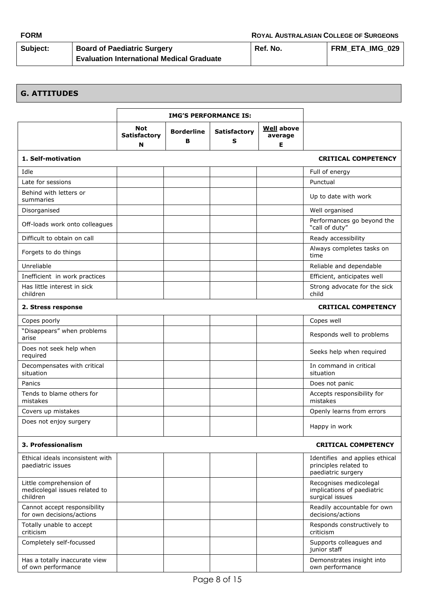| Subject: | <b>Board of Paediatric Surgery</b>               | Ref. No. | FRM ETA IMG 029 |
|----------|--------------------------------------------------|----------|-----------------|
|          | <b>Evaluation International Medical Graduate</b> |          |                 |

# **G. ATTITUDES**

|                                                                      | <b>IMG'S PERFORMANCE IS:</b>    |                        |                          |                                   |                                                                               |
|----------------------------------------------------------------------|---------------------------------|------------------------|--------------------------|-----------------------------------|-------------------------------------------------------------------------------|
|                                                                      | Not<br><b>Satisfactory</b><br>N | <b>Borderline</b><br>в | <b>Satisfactory</b><br>s | <b>Well</b> above<br>average<br>Е |                                                                               |
| 1. Self-motivation                                                   |                                 |                        |                          |                                   | <b>CRITICAL COMPETENCY</b>                                                    |
| Idle                                                                 |                                 |                        |                          |                                   | Full of energy                                                                |
| Late for sessions                                                    |                                 |                        |                          |                                   | Punctual                                                                      |
| Behind with letters or<br>summaries                                  |                                 |                        |                          |                                   | Up to date with work                                                          |
| Disorganised                                                         |                                 |                        |                          |                                   | Well organised                                                                |
| Off-loads work onto colleagues                                       |                                 |                        |                          |                                   | Performances go beyond the<br>"call of duty"                                  |
| Difficult to obtain on call                                          |                                 |                        |                          |                                   | Ready accessibility                                                           |
| Forgets to do things                                                 |                                 |                        |                          |                                   | Always completes tasks on<br>time                                             |
| Unreliable                                                           |                                 |                        |                          |                                   | Reliable and dependable                                                       |
| Inefficient in work practices                                        |                                 |                        |                          |                                   | Efficient, anticipates well                                                   |
| Has little interest in sick<br>children                              |                                 |                        |                          |                                   | Strong advocate for the sick<br>child                                         |
| 2. Stress response                                                   |                                 |                        |                          |                                   | <b>CRITICAL COMPETENCY</b>                                                    |
| Copes poorly                                                         |                                 |                        |                          |                                   | Copes well                                                                    |
| "Disappears" when problems<br>arise                                  |                                 |                        |                          |                                   | Responds well to problems                                                     |
| Does not seek help when<br>required                                  |                                 |                        |                          |                                   | Seeks help when required                                                      |
| Decompensates with critical<br>situation                             |                                 |                        |                          |                                   | In command in critical<br>situation                                           |
| Panics                                                               |                                 |                        |                          |                                   | Does not panic                                                                |
| Tends to blame others for<br>mistakes                                |                                 |                        |                          |                                   | Accepts responsibility for<br>mistakes                                        |
| Covers up mistakes                                                   |                                 |                        |                          |                                   | Openly learns from errors                                                     |
| Does not enjoy surgery                                               |                                 |                        |                          |                                   | Happy in work                                                                 |
| 3. Professionalism                                                   |                                 |                        |                          |                                   | <b>CRITICAL COMPETENCY</b>                                                    |
| Ethical ideals inconsistent with<br>paediatric issues                |                                 |                        |                          |                                   | Identifies and applies ethical<br>principles related to<br>paediatric surgery |
| Little comprehension of<br>medicolegal issues related to<br>children |                                 |                        |                          |                                   | Recognises medicolegal<br>implications of paediatric<br>surgical issues       |
| Cannot accept responsibility<br>for own decisions/actions            |                                 |                        |                          |                                   | Readily accountable for own<br>decisions/actions                              |
| Totally unable to accept<br>criticism                                |                                 |                        |                          |                                   | Responds constructively to<br>criticism                                       |
| Completely self-focussed                                             |                                 |                        |                          |                                   | Supports colleagues and<br>junior staff                                       |
| Has a totally inaccurate view<br>of own performance                  |                                 |                        |                          |                                   | Demonstrates insight into<br>own performance                                  |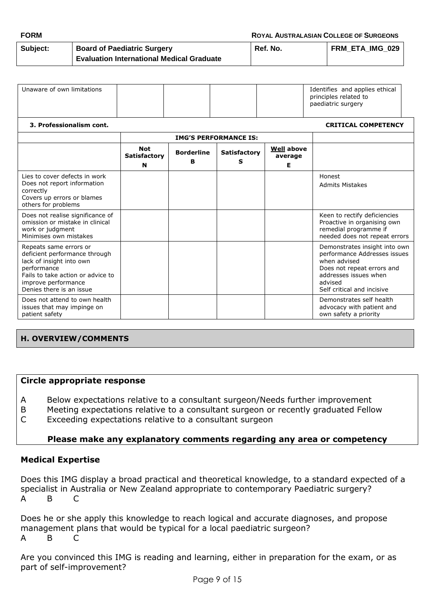| <b>FORM</b>     |                                                  | <b>ROYAL AUSTRALASIAN COLLEGE OF SURGEONS</b> |                 |  |
|-----------------|--------------------------------------------------|-----------------------------------------------|-----------------|--|
| <b>Subject:</b> | <b>Board of Paediatric Surgery</b>               | Ref. No.                                      | FRM ETA IMG 029 |  |
|                 | <b>Evaluation International Medical Graduate</b> |                                               |                 |  |

| Unaware of own limitations |  | Identifies and applies ethical<br>principles related to<br>paediatric surgery |
|----------------------------|--|-------------------------------------------------------------------------------|
|----------------------------|--|-------------------------------------------------------------------------------|

#### **3. Professionalism cont. CRITICAL COMPETENCY**

|                                                                                                                                                                                            |                                        | <b>IMG'S PERFORMANCE IS:</b> |                          |                                   |                                                                                                                                                                               |
|--------------------------------------------------------------------------------------------------------------------------------------------------------------------------------------------|----------------------------------------|------------------------------|--------------------------|-----------------------------------|-------------------------------------------------------------------------------------------------------------------------------------------------------------------------------|
|                                                                                                                                                                                            | <b>Not</b><br><b>Satisfactory</b><br>N | <b>Borderline</b><br>R.      | <b>Satisfactory</b><br>s | <b>Well above</b><br>average<br>Е |                                                                                                                                                                               |
| Lies to cover defects in work<br>Does not report information<br>correctly<br>Covers up errors or blames<br>others for problems                                                             |                                        |                              |                          |                                   | Honest<br><b>Admits Mistakes</b>                                                                                                                                              |
| Does not realise significance of<br>omission or mistake in clinical<br>work or judgment<br>Minimises own mistakes                                                                          |                                        |                              |                          |                                   | Keen to rectify deficiencies<br>Proactive in organising own<br>remedial programme if<br>needed does not repeat errors                                                         |
| Repeats same errors or<br>deficient performance through<br>lack of insight into own<br>performance<br>Fails to take action or advice to<br>improve performance<br>Denies there is an issue |                                        |                              |                          |                                   | Demonstrates insight into own<br>performance Addresses issues<br>when advised<br>Does not repeat errors and<br>addresses issues when<br>advised<br>Self critical and incisive |
| Does not attend to own health<br>issues that may impinge on<br>patient safety                                                                                                              |                                        |                              |                          |                                   | Demonstrates self health<br>advocacy with patient and<br>own safety a priority                                                                                                |

#### **H. OVERVIEW/COMMENTS**

#### **Circle appropriate response**

A Below expectations relative to a consultant surgeon/Needs further improvement

B Meeting expectations relative to a consultant surgeon or recently graduated Fellow C Exceeding expectations relative to a consultant surgeon

#### **Please make any explanatory comments regarding any area or competency**

#### **Medical Expertise**

Does this IMG display a broad practical and theoretical knowledge, to a standard expected of a specialist in Australia or New Zealand appropriate to contemporary Paediatric surgery? A B C

Does he or she apply this knowledge to reach logical and accurate diagnoses, and propose management plans that would be typical for a local paediatric surgeon? A B C

Are you convinced this IMG is reading and learning, either in preparation for the exam, or as part of self-improvement?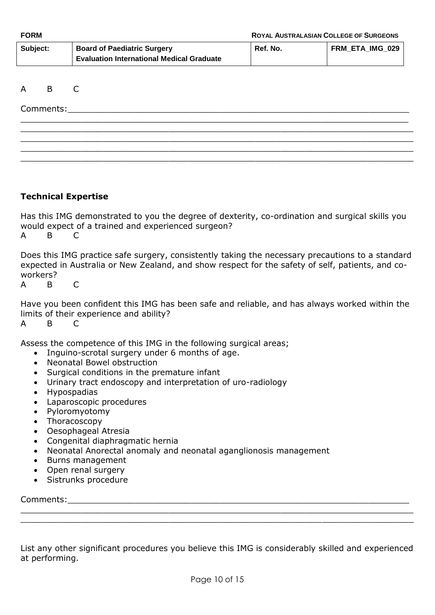| Subject: | <b>Board of Paediatric Surgery</b>               | Ref. No. | FRM ETA IMG 029 |
|----------|--------------------------------------------------|----------|-----------------|
|          | <b>Evaluation International Medical Graduate</b> |          |                 |

\_\_\_\_\_\_\_\_\_\_\_\_\_\_\_\_\_\_\_\_\_\_\_\_\_\_\_\_\_\_\_\_\_\_\_\_\_\_\_\_\_\_\_\_\_\_\_\_\_\_\_\_\_\_\_\_\_\_\_\_\_\_\_\_\_\_\_\_\_\_\_\_\_\_\_\_ \_\_\_\_\_\_\_\_\_\_\_\_\_\_\_\_\_\_\_\_\_\_\_\_\_\_\_\_\_\_\_\_\_\_\_\_\_\_\_\_\_\_\_\_\_\_\_\_\_\_\_\_\_\_\_\_\_\_\_\_\_\_\_\_\_\_\_\_\_\_\_\_\_\_\_\_\_ \_\_\_\_\_\_\_\_\_\_\_\_\_\_\_\_\_\_\_\_\_\_\_\_\_\_\_\_\_\_\_\_\_\_\_\_\_\_\_\_\_\_\_\_\_\_\_\_\_\_\_\_\_\_\_\_\_\_\_\_\_\_\_\_\_\_\_\_\_\_\_\_\_\_\_\_\_ \_\_\_\_\_\_\_\_\_\_\_\_\_\_\_\_\_\_\_\_\_\_\_\_\_\_\_\_\_\_\_\_\_\_\_\_\_\_\_\_\_\_\_\_\_\_\_\_\_\_\_\_\_\_\_\_\_\_\_\_\_\_\_\_\_\_\_\_\_\_\_\_\_\_\_\_\_ \_\_\_\_\_\_\_\_\_\_\_\_\_\_\_\_\_\_\_\_\_\_\_\_\_\_\_\_\_\_\_\_\_\_\_\_\_\_\_\_\_\_\_\_\_\_\_\_\_\_\_\_\_\_\_\_\_\_\_\_\_\_\_\_\_\_\_\_\_\_\_\_\_\_\_\_\_

#### A B C

 $\mathsf{Comments}\colon$ 

### **Technical Expertise**

Has this IMG demonstrated to you the degree of dexterity, co-ordination and surgical skills you would expect of a trained and experienced surgeon? A B C

Does this IMG practice safe surgery, consistently taking the necessary precautions to a standard expected in Australia or New Zealand, and show respect for the safety of self, patients, and coworkers?

A B C

Have you been confident this IMG has been safe and reliable, and has always worked within the limits of their experience and ability?

A B C

Assess the competence of this IMG in the following surgical areas;

- Inguino-scrotal surgery under 6 months of age.
- Neonatal Bowel obstruction
- Surgical conditions in the premature infant
- Urinary tract endoscopy and interpretation of uro-radiology
- Hypospadias
- Laparoscopic procedures
- Pyloromyotomy
- Thoracoscopy
- Oesophageal Atresia
- Congenital diaphragmatic hernia
- Neonatal Anorectal anomaly and neonatal aganglionosis management
- Burns management
- Open renal surgery
- Sistrunks procedure

Comments:\_\_\_\_\_\_\_\_\_\_\_\_\_\_\_\_\_\_\_\_\_\_\_\_\_\_\_\_\_\_\_\_\_\_\_\_\_\_\_\_\_\_\_\_\_\_\_\_\_\_\_\_\_\_\_\_\_\_\_\_\_\_\_\_\_\_\_

List any other significant procedures you believe this IMG is considerably skilled and experienced at performing.

\_\_\_\_\_\_\_\_\_\_\_\_\_\_\_\_\_\_\_\_\_\_\_\_\_\_\_\_\_\_\_\_\_\_\_\_\_\_\_\_\_\_\_\_\_\_\_\_\_\_\_\_\_\_\_\_\_\_\_\_\_\_\_\_\_\_\_\_\_\_\_\_\_\_\_\_\_ \_\_\_\_\_\_\_\_\_\_\_\_\_\_\_\_\_\_\_\_\_\_\_\_\_\_\_\_\_\_\_\_\_\_\_\_\_\_\_\_\_\_\_\_\_\_\_\_\_\_\_\_\_\_\_\_\_\_\_\_\_\_\_\_\_\_\_\_\_\_\_\_\_\_\_\_\_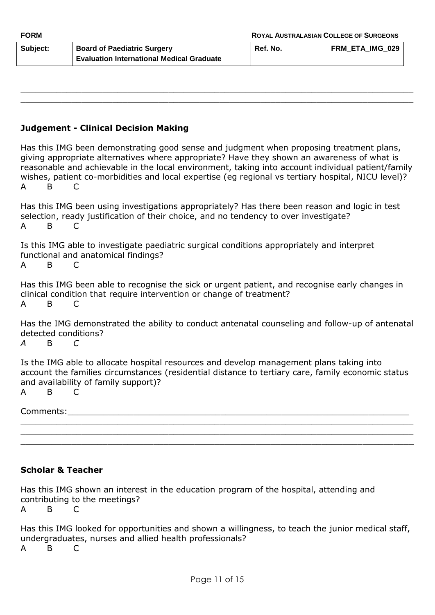| Subject: | <b>Board of Paediatric Surgery</b>               | Ref. No. | <b>FRM ETA IMG 029</b> |
|----------|--------------------------------------------------|----------|------------------------|
|          | <b>Evaluation International Medical Graduate</b> |          |                        |

\_\_\_\_\_\_\_\_\_\_\_\_\_\_\_\_\_\_\_\_\_\_\_\_\_\_\_\_\_\_\_\_\_\_\_\_\_\_\_\_\_\_\_\_\_\_\_\_\_\_\_\_\_\_\_\_\_\_\_\_\_\_\_\_\_\_\_\_\_\_\_\_\_\_\_\_\_ \_\_\_\_\_\_\_\_\_\_\_\_\_\_\_\_\_\_\_\_\_\_\_\_\_\_\_\_\_\_\_\_\_\_\_\_\_\_\_\_\_\_\_\_\_\_\_\_\_\_\_\_\_\_\_\_\_\_\_\_\_\_\_\_\_\_\_\_\_\_\_\_\_\_\_\_\_

# **Judgement - Clinical Decision Making**

|     |                | Has this IMG been demonstrating good sense and judgment when proposing treatment plans,            |
|-----|----------------|----------------------------------------------------------------------------------------------------|
|     |                | giving appropriate alternatives where appropriate? Have they shown an awareness of what is         |
|     |                | reasonable and achievable in the local environment, taking into account individual patient/family  |
|     |                | wishes, patient co-morbidities and local expertise (eq regional vs tertiary hospital, NICU level)? |
| A B | $\overline{C}$ |                                                                                                    |
|     |                |                                                                                                    |

Has this IMG been using investigations appropriately? Has there been reason and logic in test selection, ready justification of their choice, and no tendency to over investigate? A B C

Is this IMG able to investigate paediatric surgical conditions appropriately and interpret functional and anatomical findings?

A B C

Has this IMG been able to recognise the sick or urgent patient, and recognise early changes in clinical condition that require intervention or change of treatment? A B C

Has the IMG demonstrated the ability to conduct antenatal counseling and follow-up of antenatal detected conditions?

*A* B *C*

Is the IMG able to allocate hospital resources and develop management plans taking into account the families circumstances (residential distance to tertiary care, family economic status and availability of family support)?

A B C

| ∽ |  |  |
|---|--|--|
|   |  |  |

\_\_\_\_\_\_\_\_\_\_\_\_\_\_\_\_\_\_\_\_\_\_\_\_\_\_\_\_\_\_\_\_\_\_\_\_\_\_\_\_\_\_\_\_\_\_\_\_\_\_\_\_\_\_\_\_\_\_\_\_\_\_\_\_\_\_\_\_\_\_\_\_\_\_\_\_\_ \_\_\_\_\_\_\_\_\_\_\_\_\_\_\_\_\_\_\_\_\_\_\_\_\_\_\_\_\_\_\_\_\_\_\_\_\_\_\_\_\_\_\_\_\_\_\_\_\_\_\_\_\_\_\_\_\_\_\_\_\_\_\_\_\_\_\_\_\_\_\_\_\_\_\_\_\_

#### **Scholar & Teacher**

Has this IMG shown an interest in the education program of the hospital, attending and contributing to the meetings?

A B C

Has this IMG looked for opportunities and shown a willingness, to teach the junior medical staff, undergraduates, nurses and allied health professionals? A B C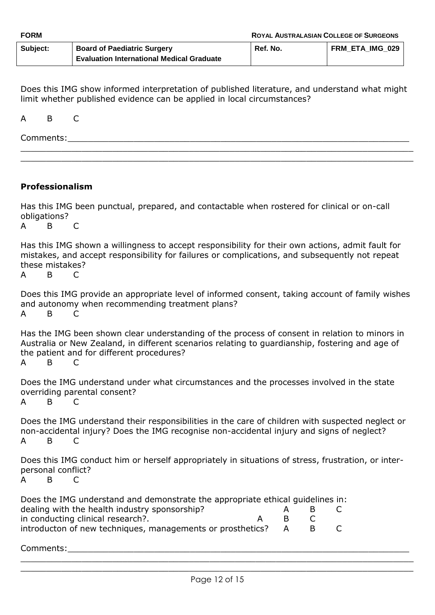| <b>FORM</b> |                                                  | <b>ROYAL AUSTRALASIAN COLLEGE OF SURGEONS</b> |                 |  |
|-------------|--------------------------------------------------|-----------------------------------------------|-----------------|--|
| Subject:    | <b>Board of Paediatric Surgery</b>               | Ref. No.                                      | FRM ETA IMG 029 |  |
|             | <b>Evaluation International Medical Graduate</b> |                                               |                 |  |

Does this IMG show informed interpretation of published literature, and understand what might limit whether published evidence can be applied in local circumstances?

\_\_\_\_\_\_\_\_\_\_\_\_\_\_\_\_\_\_\_\_\_\_\_\_\_\_\_\_\_\_\_\_\_\_\_\_\_\_\_\_\_\_\_\_\_\_\_\_\_\_\_\_\_\_\_\_\_\_\_\_\_\_\_\_\_\_\_\_\_\_\_\_\_\_\_\_\_ \_\_\_\_\_\_\_\_\_\_\_\_\_\_\_\_\_\_\_\_\_\_\_\_\_\_\_\_\_\_\_\_\_\_\_\_\_\_\_\_\_\_\_\_\_\_\_\_\_\_\_\_\_\_\_\_\_\_\_\_\_\_\_\_\_\_\_\_\_\_\_\_\_\_\_\_\_

A B C

 ${\sf Comments:}$ 

# **Professionalism**

Has this IMG been punctual, prepared, and contactable when rostered for clinical or on-call obligations?

A B C

Has this IMG shown a willingness to accept responsibility for their own actions, admit fault for mistakes, and accept responsibility for failures or complications, and subsequently not repeat these mistakes?

A B C

Does this IMG provide an appropriate level of informed consent, taking account of family wishes and autonomy when recommending treatment plans? A B C

Has the IMG been shown clear understanding of the process of consent in relation to minors in Australia or New Zealand, in different scenarios relating to guardianship, fostering and age of the patient and for different procedures?

A B C

Does the IMG understand under what circumstances and the processes involved in the state overriding parental consent?

A B C

Does the IMG understand their responsibilities in the care of children with suspected neglect or non-accidental injury? Does the IMG recognise non-accidental injury and signs of neglect? A B C

Does this IMG conduct him or herself appropriately in situations of stress, frustration, or interpersonal conflict?

A B C

| Does the IMG understand and demonstrate the appropriate ethical guidelines in: |          |    |              |
|--------------------------------------------------------------------------------|----------|----|--------------|
| dealing with the health industry sponsorship?                                  |          | к. | $\mathsf{C}$ |
| in conducting clinical research?.                                              | <b>B</b> |    |              |
| introducton of new techniques, managements or prosthetics? A                   |          |    |              |

Comments:

 $\_$  , and the contribution of the contribution of  $\mathcal{L}_\mathcal{A}$  , and the contribution of  $\mathcal{L}_\mathcal{A}$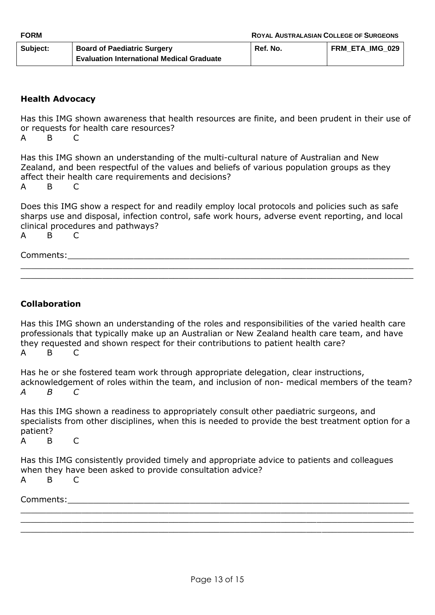| <b>FORM</b> |                                                  | <b>ROYAL AUSTRALASIAN COLLEGE OF SURGEONS</b> |                 |
|-------------|--------------------------------------------------|-----------------------------------------------|-----------------|
| Subject:    | <b>Board of Paediatric Surgery</b>               | Ref. No.                                      | FRM ETA IMG 029 |
|             | <b>Evaluation International Medical Graduate</b> |                                               |                 |

# **Health Advocacy**

Has this IMG shown awareness that health resources are finite, and been prudent in their use of or requests for health care resources?

A B C

Has this IMG shown an understanding of the multi-cultural nature of Australian and New Zealand, and been respectful of the values and beliefs of various population groups as they affect their health care requirements and decisions?

A B C

Does this IMG show a respect for and readily employ local protocols and policies such as safe sharps use and disposal, infection control, safe work hours, adverse event reporting, and local clinical procedures and pathways?

\_\_\_\_\_\_\_\_\_\_\_\_\_\_\_\_\_\_\_\_\_\_\_\_\_\_\_\_\_\_\_\_\_\_\_\_\_\_\_\_\_\_\_\_\_\_\_\_\_\_\_\_\_\_\_\_\_\_\_\_\_\_\_\_\_\_\_\_\_\_\_\_\_\_\_\_\_ \_\_\_\_\_\_\_\_\_\_\_\_\_\_\_\_\_\_\_\_\_\_\_\_\_\_\_\_\_\_\_\_\_\_\_\_\_\_\_\_\_\_\_\_\_\_\_\_\_\_\_\_\_\_\_\_\_\_\_\_\_\_\_\_\_\_\_\_\_\_\_\_\_\_\_\_\_

A B C

Comments:

# **Collaboration**

Has this IMG shown an understanding of the roles and responsibilities of the varied health care professionals that typically make up an Australian or New Zealand health care team, and have they requested and shown respect for their contributions to patient health care? A B C

Has he or she fostered team work through appropriate delegation, clear instructions, acknowledgement of roles within the team, and inclusion of non- medical members of the team? *A B C*

Has this IMG shown a readiness to appropriately consult other paediatric surgeons, and specialists from other disciplines, when this is needed to provide the best treatment option for a patient?

A B C

Has this IMG consistently provided timely and appropriate advice to patients and colleagues when they have been asked to provide consultation advice? A B C

Comments:

\_\_\_\_\_\_\_\_\_\_\_\_\_\_\_\_\_\_\_\_\_\_\_\_\_\_\_\_\_\_\_\_\_\_\_\_\_\_\_\_\_\_\_\_\_\_\_\_\_\_\_\_\_\_\_\_\_\_\_\_\_\_\_\_\_\_\_\_\_\_\_\_\_\_\_\_\_ \_\_\_\_\_\_\_\_\_\_\_\_\_\_\_\_\_\_\_\_\_\_\_\_\_\_\_\_\_\_\_\_\_\_\_\_\_\_\_\_\_\_\_\_\_\_\_\_\_\_\_\_\_\_\_\_\_\_\_\_\_\_\_\_\_\_\_\_\_\_\_\_\_\_\_\_\_ \_\_\_\_\_\_\_\_\_\_\_\_\_\_\_\_\_\_\_\_\_\_\_\_\_\_\_\_\_\_\_\_\_\_\_\_\_\_\_\_\_\_\_\_\_\_\_\_\_\_\_\_\_\_\_\_\_\_\_\_\_\_\_\_\_\_\_\_\_\_\_\_\_\_\_\_\_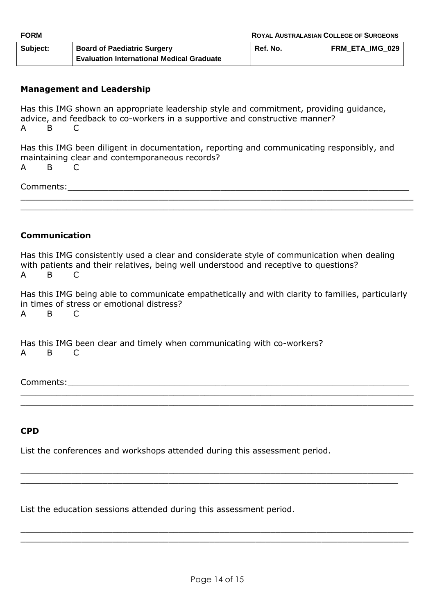| <b>FORM</b> |                                                  | <b>ROYAL AUSTRALASIAN COLLEGE OF SURGEONS</b> |                 |
|-------------|--------------------------------------------------|-----------------------------------------------|-----------------|
| Subject:    | <b>Board of Paediatric Surgery</b>               | Ref. No.                                      | FRM ETA IMG 029 |
|             | <b>Evaluation International Medical Graduate</b> |                                               |                 |

## **Management and Leadership**

Has this IMG shown an appropriate leadership style and commitment, providing guidance, advice, and feedback to co-workers in a supportive and constructive manner? A B C

Has this IMG been diligent in documentation, reporting and communicating responsibly, and maintaining clear and contemporaneous records? A B C

\_\_\_\_\_\_\_\_\_\_\_\_\_\_\_\_\_\_\_\_\_\_\_\_\_\_\_\_\_\_\_\_\_\_\_\_\_\_\_\_\_\_\_\_\_\_\_\_\_\_\_\_\_\_\_\_\_\_\_\_\_\_\_\_\_\_\_\_\_\_\_\_\_\_\_\_\_ \_\_\_\_\_\_\_\_\_\_\_\_\_\_\_\_\_\_\_\_\_\_\_\_\_\_\_\_\_\_\_\_\_\_\_\_\_\_\_\_\_\_\_\_\_\_\_\_\_\_\_\_\_\_\_\_\_\_\_\_\_\_\_\_\_\_\_\_\_\_\_\_\_\_\_\_\_

Comments:\_\_\_\_\_\_\_\_\_\_\_\_\_\_\_\_\_\_\_\_\_\_\_\_\_\_\_\_\_\_\_\_\_\_\_\_\_\_\_\_\_\_\_\_\_\_\_\_\_\_\_\_\_\_\_\_\_\_\_\_\_\_\_\_\_\_\_

### **Communication**

Has this IMG consistently used a clear and considerate style of communication when dealing with patients and their relatives, being well understood and receptive to questions? A B C

Has this IMG being able to communicate empathetically and with clarity to families, particularly in times of stress or emotional distress? A B C

\_\_\_\_\_\_\_\_\_\_\_\_\_\_\_\_\_\_\_\_\_\_\_\_\_\_\_\_\_\_\_\_\_\_\_\_\_\_\_\_\_\_\_\_\_\_\_\_\_\_\_\_\_\_\_\_\_\_\_\_\_\_\_\_\_\_\_\_\_\_\_\_\_\_\_\_\_ \_\_\_\_\_\_\_\_\_\_\_\_\_\_\_\_\_\_\_\_\_\_\_\_\_\_\_\_\_\_\_\_\_\_\_\_\_\_\_\_\_\_\_\_\_\_\_\_\_\_\_\_\_\_\_\_\_\_\_\_\_\_\_\_\_\_\_\_\_\_\_\_\_\_\_\_\_

 $\_$  , and the contribution of the contribution of the contribution of the contribution of  $\mathcal{L}_\mathcal{A}$  $\_$  , and the contribution of the contribution of  $\mathcal{L}_\mathcal{A}$  , and the contribution of  $\mathcal{L}_\mathcal{A}$ 

Has this IMG been clear and timely when communicating with co-workers? A B C

Comments:

#### **CPD**

List the conferences and workshops attended during this assessment period.

List the education sessions attended during this assessment period.

\_\_\_\_\_\_\_\_\_\_\_\_\_\_\_\_\_\_\_\_\_\_\_\_\_\_\_\_\_\_\_\_\_\_\_\_\_\_\_\_\_\_\_\_\_\_\_\_\_\_\_\_\_\_\_\_\_\_\_\_\_\_\_\_\_\_\_\_\_\_\_\_\_\_\_\_\_ \_\_\_\_\_\_\_\_\_\_\_\_\_\_\_\_\_\_\_\_\_\_\_\_\_\_\_\_\_\_\_\_\_\_\_\_\_\_\_\_\_\_\_\_\_\_\_\_\_\_\_\_\_\_\_\_\_\_\_\_\_\_\_\_\_\_\_\_\_\_\_\_\_\_\_\_